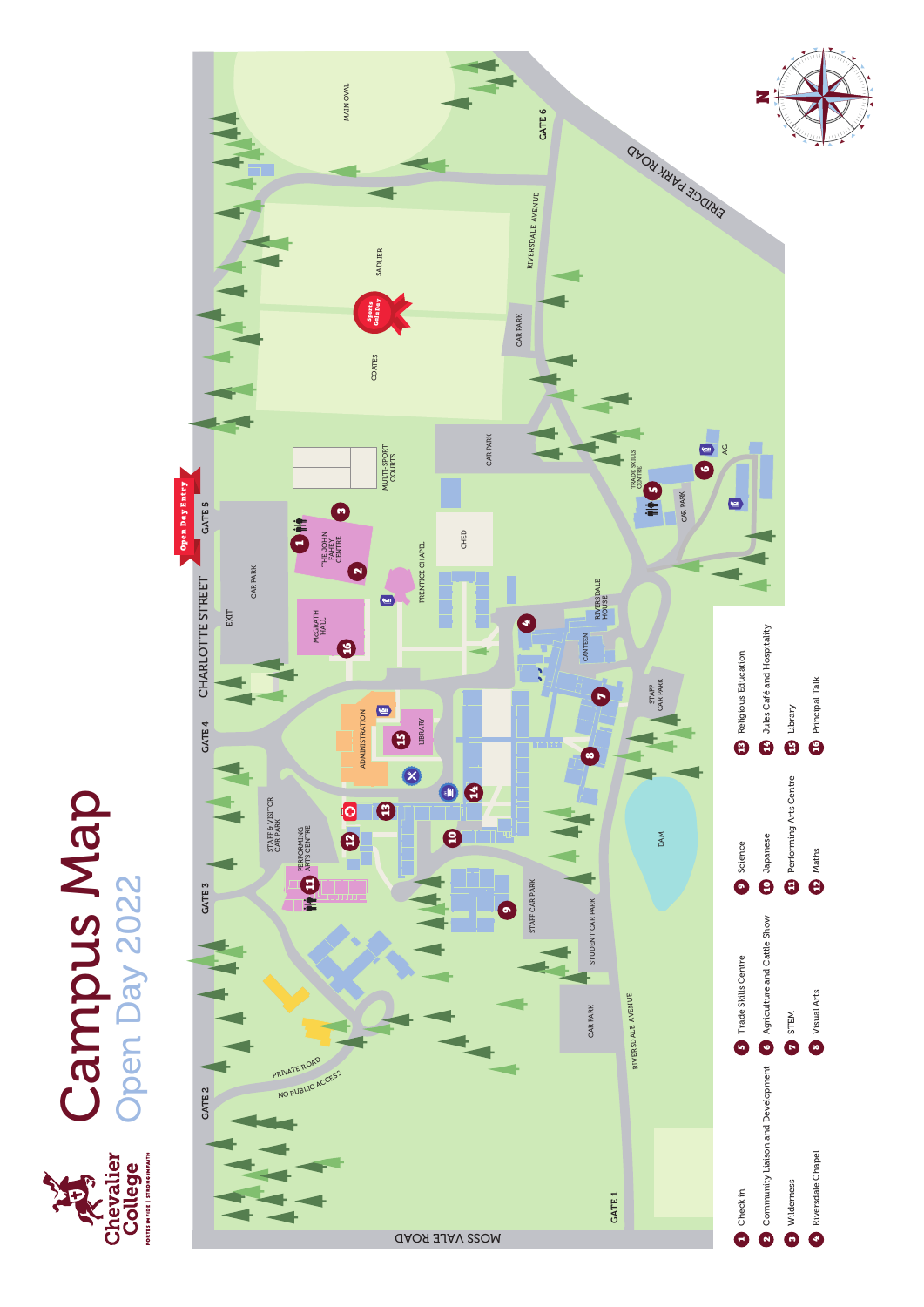